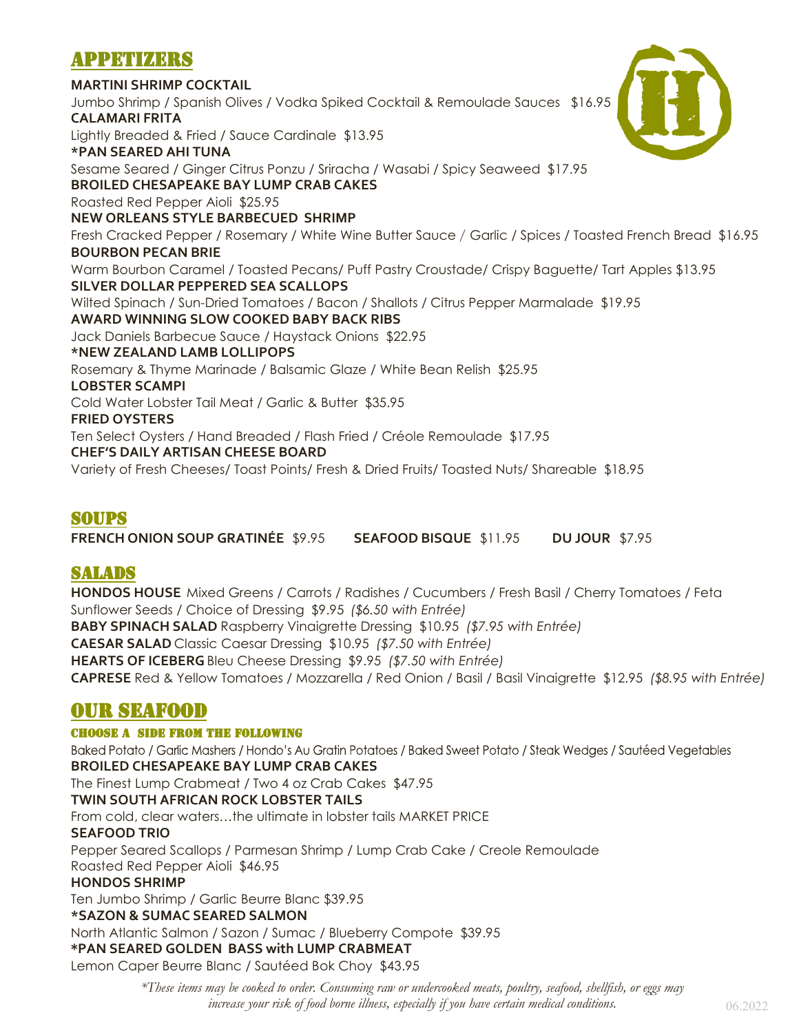# APPETIZERS

**MARTINI SHRIMP COCKTAIL** Jumbo Shrimp / Spanish Olives / Vodka Spiked Cocktail & Remoulade Sauces \$16.95 **CALAMARI FRITA** Lightly Breaded & Fried / Sauce Cardinale \$13.95 **\*PAN SEARED AHI TUNA** Sesame Seared / Ginger Citrus Ponzu / Sriracha / Wasabi / Spicy Seaweed \$17.95 **BROILED CHESAPEAKE BAY LUMP CRAB CAKES** Roasted Red Pepper Aioli \$25.95 **NEW ORLEANS STYLE BARBECUED SHRIMP** Fresh Cracked Pepper / Rosemary / White Wine Butter Sauce / Garlic / Spices / Toasted French Bread \$16.95 **BOURBON PECAN BRIE** Warm Bourbon Caramel / Toasted Pecans/ Puff Pastry Croustade/ Crispy Baguette/ Tart Apples \$13.95 **SILVER DOLLAR PEPPERED SEA SCALLOPS** Wilted Spinach / Sun-Dried Tomatoes / Bacon / Shallots / Citrus Pepper Marmalade \$19.95 **AWARD WINNING SLOW COOKED BABY BACK RIBS** Jack Daniels Barbecue Sauce / Haystack Onions \$22.95 **\*NEW ZEALAND LAMB LOLLIPOPS** Rosemary & Thyme Marinade / Balsamic Glaze / White Bean Relish \$25.95 **LOBSTER SCAMPI** Cold Water Lobster Tail Meat / Garlic & Butter \$35.95 **FRIED OYSTERS** Ten Select Oysters / Hand Breaded / Flash Fried / Créole Remoulade \$17.95 **CHEF'S DAILY ARTISAN CHEESE BOARD** Variety of Fresh Cheeses/ Toast Points/ Fresh & Dried Fruits/ Toasted Nuts/ Shareable \$18.95

### SOUPS

**FRENCH ONION SOUP GRATINÉE** \$9.95 **SEAFOOD BISQUE** \$11.95 **DU JOUR** \$7.95

### SALADS

**HONDOS HOUSE** Mixed Greens / Carrots / Radishes / Cucumbers / Fresh Basil / Cherry Tomatoes / Feta Sunflower Seeds / Choice of Dressing \$9.95 *(\$6.50 with Entrée)* **BABY SPINACH SALAD** Raspberry Vinaigrette Dressing \$10.95 *(\$7.95 with Entrée)* **CAESAR SALAD** Classic Caesar Dressing \$10.95 *(\$7.50 with Entrée)* **HEARTS OF ICEBERG** Bleu Cheese Dressing \$9.95 *(\$7.50 with Entrée)* **CAPRESE** Red & Yellow Tomatoes / Mozzarella / Red Onion / Basil / Basil Vinaigrette \$12.95 *(\$8.95 with Entrée)*

# OUR SEAFOOD

### CHOOSE A SIDE FROM THE FOLLOWING

Baked Potato / Garlic Mashers / Hondo's Au Gratin Potatoes / Baked Sweet Potato / Steak Wedges / Sautéed Vegetables **BROILED CHESAPEAKE BAY LUMP CRAB CAKES** The Finest Lump Crabmeat / Two 4 oz Crab Cakes \$47.95 **TWIN SOUTH AFRICAN ROCK LOBSTER TAILS** From cold, clear waters…the ultimate in lobster tails MARKET PRICE **SEAFOOD TRIO** Pepper Seared Scallops / Parmesan Shrimp / Lump Crab Cake / Creole Remoulade Roasted Red Pepper Aioli \$46.95 **HONDOS SHRIMP** Ten Jumbo Shrimp / Garlic Beurre Blanc \$39.95 **\*SAZON & SUMAC SEARED SALMON** North Atlantic Salmon / Sazon / Sumac / Blueberry Compote \$39.95 **\*PAN SEARED GOLDEN BASS with LUMP CRABMEAT** Lemon Caper Beurre Blanc / Sautéed Bok Choy \$43.95

*\*These items may be cooked to order. Consuming raw or undercooked meats, poultry, seafood, shellfish, or eggs may increase your risk of food borne illness, especially if you have certain medical conditions.* 06.2022